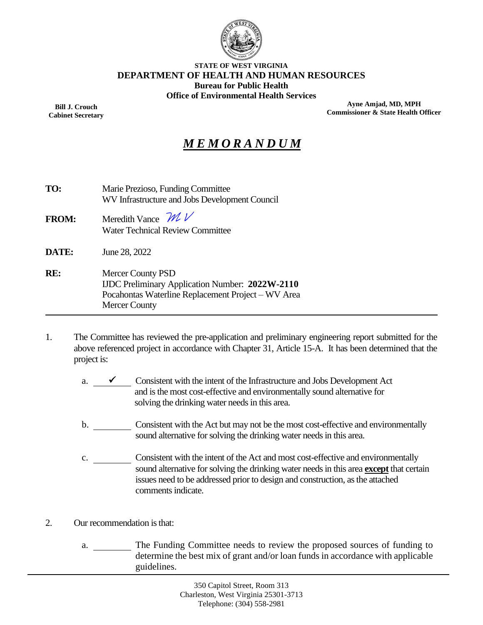

#### **STATE OF WEST VIRGINIA DEPARTMENT OF HEALTH AND HUMAN RESOURCES Bureau for Public Health Office of Environmental Health Services**

**Bill J. Crouch Cabinet Secretary**

**Ayne Amjad, MD, MPH Commissioner & State Health Officer**

# *M E M O R A N D U M*

| TO:          | Marie Prezioso, Funding Committee<br>WV Infrastructure and Jobs Development Council                                                                       |  |  |  |
|--------------|-----------------------------------------------------------------------------------------------------------------------------------------------------------|--|--|--|
| <b>FROM:</b> | Meredith Vance $\mathcal{W}$<br><b>Water Technical Review Committee</b>                                                                                   |  |  |  |
| DATE:        | June 28, 2022                                                                                                                                             |  |  |  |
| RE:          | <b>Mercer County PSD</b><br><b>IJDC Preliminary Application Number: 2022W-2110</b><br>Pocahontas Waterline Replacement Project – WV Area<br>Mercer County |  |  |  |

- 1. The Committee has reviewed the pre-application and preliminary engineering report submitted for the above referenced project in accordance with Chapter 31, Article 15-A. It has been determined that the project is:
	- a.  $\checkmark$  Consistent with the intent of the Infrastructure and Jobs Development Act and is the most cost-effective and environmentally sound alternative for solving the drinking water needs in this area.
	- b. Consistent with the Act but may not be the most cost-effective and environmentally sound alternative for solving the drinking water needs in this area.
	- c. Consistent with the intent of the Act and most cost-effective and environmentally sound alternative for solving the drinking water needs in this area **except** that certain issues need to be addressed prior to design and construction, as the attached comments indicate.
- 2. Our recommendation is that:
	- a. \_\_\_\_\_\_\_\_\_ The Funding Committee needs to review the proposed sources of funding to determine the best mix of grant and/or loan funds in accordance with applicable guidelines.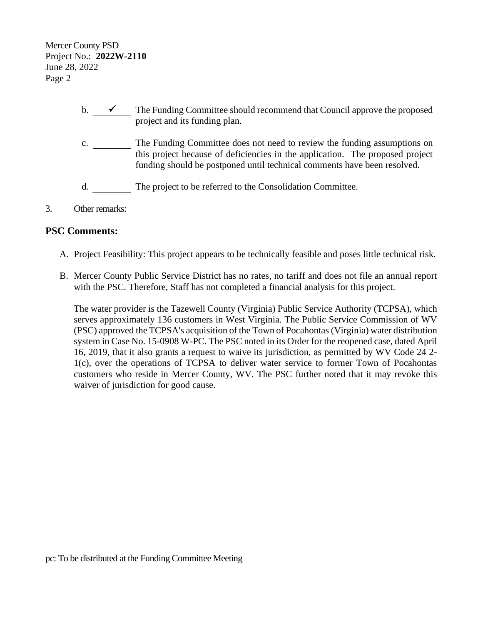Mercer County PSD Project No.: **2022W-2110** June 28, 2022 Page 2

- b.  $\overline{\phantom{a}}$  The Funding Committee should recommend that Council approve the proposed project and its funding plan.
- c. \_\_\_\_\_\_\_\_\_ The Funding Committee does not need to review the funding assumptions on this project because of deficiencies in the application. The proposed project funding should be postponed until technical comments have been resolved.
- d. The project to be referred to the Consolidation Committee.
- 3. Other remarks:

#### **PSC Comments:**

- A. Project Feasibility: This project appears to be technically feasible and poses little technical risk.
- B. Mercer County Public Service District has no rates, no tariff and does not file an annual report with the PSC. Therefore, Staff has not completed a financial analysis for this project.

The water provider is the Tazewell County (Virginia) Public Service Authority (TCPSA), which serves approximately 136 customers in West Virginia. The Public Service Commission of WV (PSC) approved the TCPSA's acquisition of the Town of Pocahontas (Virginia) water distribution system in Case No. 15-0908 W-PC. The PSC noted in its Order for the reopened case, dated April 16, 2019, that it also grants a request to waive its jurisdiction, as permitted by WV Code 24 2- 1(c), over the operations of TCPSA to deliver water service to former Town of Pocahontas customers who reside in Mercer County, WV. The PSC further noted that it may revoke this waiver of jurisdiction for good cause.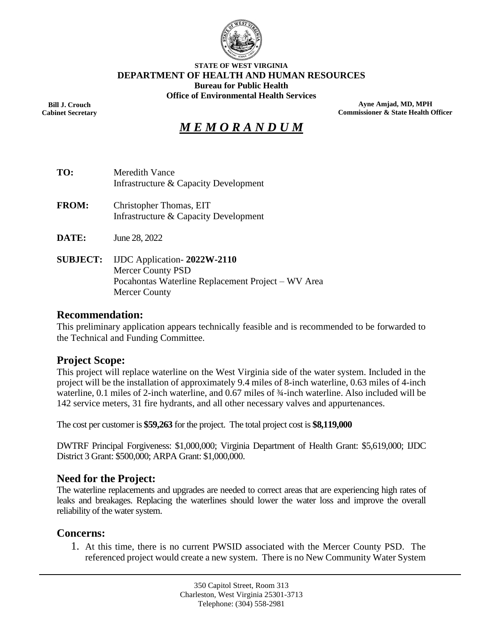

#### **STATE OF WEST VIRGINIA DEPARTMENT OF HEALTH AND HUMAN RESOURCES Bureau for Public Health Office of Environmental Health Services**

**Bill J. Crouch Cabinet Secretary**

**Ayne Amjad, MD, MPH Commissioner & State Health Officer**

# *M E M O R A N D U M*

- **TO:** Meredith Vance Infrastructure & Capacity Development
- **FROM:** Christopher Thomas, EIT Infrastructure & Capacity Development
- **DATE:** June 28, 2022
- **SUBJECT:** IJDC Application- **2022W-2110** Mercer County PSD Pocahontas Waterline Replacement Project – WV Area Mercer County

#### **Recommendation:**

This preliminary application appears technically feasible and is recommended to be forwarded to the Technical and Funding Committee.

## **Project Scope:**

This project will replace waterline on the West Virginia side of the water system. Included in the project will be the installation of approximately 9.4 miles of 8-inch waterline, 0.63 miles of 4-inch waterline, 0.1 miles of 2-inch waterline, and 0.67 miles of  $\frac{3}{4}$ -inch waterline. Also included will be 142 service meters, 31 fire hydrants, and all other necessary valves and appurtenances.

The cost per customer is **\$59,263** for the project. The total project cost is **\$8,119,000**

DWTRF Principal Forgiveness: \$1,000,000; Virginia Department of Health Grant: \$5,619,000; IJDC District 3 Grant: \$500,000; ARPA Grant: \$1,000,000.

## **Need for the Project:**

The waterline replacements and upgrades are needed to correct areas that are experiencing high rates of leaks and breakages. Replacing the waterlines should lower the water loss and improve the overall reliability of the water system.

## **Concerns:**

1. At this time, there is no current PWSID associated with the Mercer County PSD. The referenced project would create a new system. There is no New Community Water System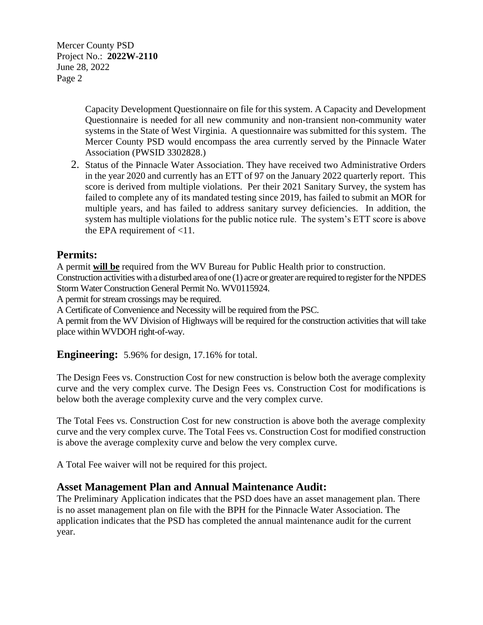Mercer County PSD Project No.: **2022W-2110** June 28, 2022 Page 2

> Capacity Development Questionnaire on file for this system. A Capacity and Development Questionnaire is needed for all new community and non-transient non-community water systems in the State of West Virginia. A questionnaire was submitted for this system. The Mercer County PSD would encompass the area currently served by the Pinnacle Water Association (PWSID 3302828.)

2. Status of the Pinnacle Water Association. They have received two Administrative Orders in the year 2020 and currently has an ETT of 97 on the January 2022 quarterly report. This score is derived from multiple violations. Per their 2021 Sanitary Survey, the system has failed to complete any of its mandated testing since 2019, has failed to submit an MOR for multiple years, and has failed to address sanitary survey deficiencies. In addition, the system has multiple violations for the public notice rule. The system's ETT score is above the EPA requirement of  $<$ 11.

## **Permits:**

A permit **will be** required from the WV Bureau for Public Health prior to construction.

Construction activities with a disturbed area of one (1) acre or greater are required to register for the NPDES Storm Water Construction General Permit No. WV0115924.

A permit for stream crossings may be required.

A Certificate of Convenience and Necessity will be required from the PSC.

A permit from the WV Division of Highways will be required for the construction activities that will take place within WVDOH right-of-way.

**Engineering:** 5.96% for design, 17.16% for total.

The Design Fees vs. Construction Cost for new construction is below both the average complexity curve and the very complex curve. The Design Fees vs. Construction Cost for modifications is below both the average complexity curve and the very complex curve.

The Total Fees vs. Construction Cost for new construction is above both the average complexity curve and the very complex curve. The Total Fees vs. Construction Cost for modified construction is above the average complexity curve and below the very complex curve.

A Total Fee waiver will not be required for this project.

## **Asset Management Plan and Annual Maintenance Audit:**

The Preliminary Application indicates that the PSD does have an asset management plan. There is no asset management plan on file with the BPH for the Pinnacle Water Association. The application indicates that the PSD has completed the annual maintenance audit for the current year.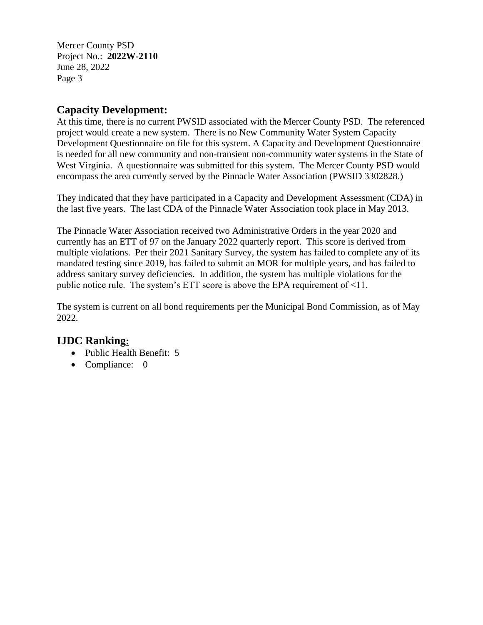Mercer County PSD Project No.: **2022W-2110** June 28, 2022 Page 3

# **Capacity Development:**

At this time, there is no current PWSID associated with the Mercer County PSD. The referenced project would create a new system. There is no New Community Water System Capacity Development Questionnaire on file for this system. A Capacity and Development Questionnaire is needed for all new community and non-transient non-community water systems in the State of West Virginia. A questionnaire was submitted for this system. The Mercer County PSD would encompass the area currently served by the Pinnacle Water Association (PWSID 3302828.)

They indicated that they have participated in a Capacity and Development Assessment (CDA) in the last five years. The last CDA of the Pinnacle Water Association took place in May 2013.

The Pinnacle Water Association received two Administrative Orders in the year 2020 and currently has an ETT of 97 on the January 2022 quarterly report. This score is derived from multiple violations. Per their 2021 Sanitary Survey, the system has failed to complete any of its mandated testing since 2019, has failed to submit an MOR for multiple years, and has failed to address sanitary survey deficiencies. In addition, the system has multiple violations for the public notice rule. The system's ETT score is above the EPA requirement of  $\leq 11$ .

The system is current on all bond requirements per the Municipal Bond Commission, as of May 2022.

# **IJDC Ranking:**

- Public Health Benefit: 5
- Compliance: 0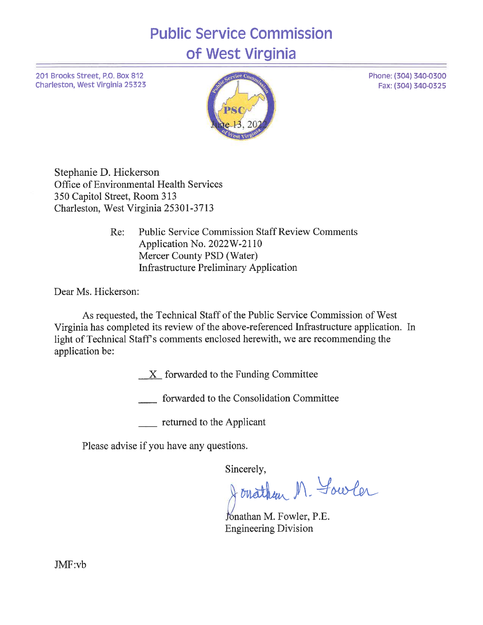**Public Service Commission** of West Virginia

201 Brooks Street, P.O. Box 812 Charleston, West Virginia 25323



Phone: (304) 340-0300

Fax: (304) 340-0325

Stephanie D. Hickerson Office of Environmental Health Services 350 Capitol Street, Room 313 Charleston, West Virginia 25301-3713

> **Public Service Commission Staff Review Comments** Re: Application No. 2022W-2110 Mercer County PSD (Water) **Infrastructure Preliminary Application**

Dear Ms. Hickerson:

As requested, the Technical Staff of the Public Service Commission of West Virginia has completed its review of the above-referenced Infrastructure application. In light of Technical Staff's comments enclosed herewith, we are recommending the application be:

 $X$  forwarded to the Funding Committee

forwarded to the Consolidation Committee

returned to the Applicant

Please advise if you have any questions.

Sincerely,

onathen M. Yowler

Jonathan M. Fowler, P.E. **Engineering Division** 

JMF:vb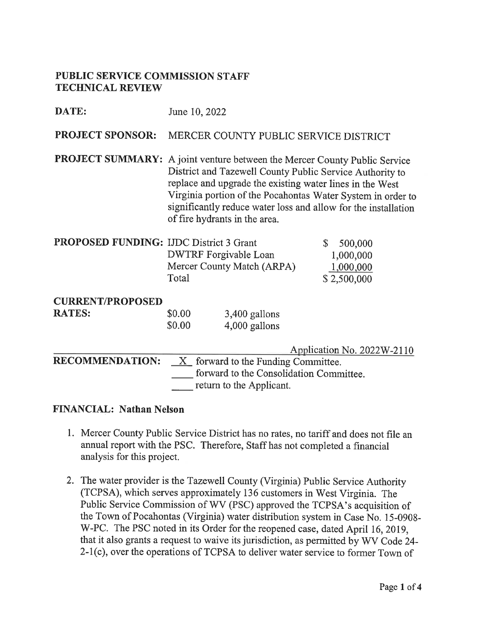#### **PUBLIC SERVICE COMMISSION STAFF TECHNICAL REVIEW**

DATE: June 10, 2022

#### **PROJECT SPONSOR:** MERCER COUNTY PUBLIC SERVICE DISTRICT

**PROJECT SUMMARY:** A joint venture between the Mercer County Public Service District and Tazewell County Public Service Authority to replace and upgrade the existing water lines in the West Virginia portion of the Pocahontas Water System in order to significantly reduce water loss and allow for the installation of fire hydrants in the area.

| <b>PROPOSED FUNDING: IJDC District 3 Grant</b> |                              | \$500,000   |
|------------------------------------------------|------------------------------|-------------|
|                                                | <b>DWTRF</b> Forgivable Loan | 1,000,000   |
|                                                | Mercer County Match (ARPA)   | 1,000,000   |
|                                                | Total                        | \$2,500,000 |

| <b>RATES:</b> | \$0.00 | 3,400 gallons |
|---------------|--------|---------------|
|               | \$0.00 | 4,000 gallons |

|                        | Application No. $2022W-2110$                                        |
|------------------------|---------------------------------------------------------------------|
| <b>RECOMMENDATION:</b> | $X$ forward to the Funding Committee.                               |
|                        | forward to the Consolidation Committee.<br>return to the Applicant. |

#### **FINANCIAL: Nathan Nelson**

- 1. Mercer County Public Service District has no rates, no tariff and does not file an annual report with the PSC. Therefore, Staff has not completed a financial analysis for this project.
- 2. The water provider is the Tazewell County (Virginia) Public Service Authority (TCPSA), which serves approximately 136 customers in West Virginia. The Public Service Commission of WV (PSC) approved the TCPSA's acquisition of the Town of Pocahontas (Virginia) water distribution system in Case No. 15-0908-W-PC. The PSC noted in its Order for the reopened case, dated April 16, 2019, that it also grants a request to waive its jurisdiction, as permitted by WV Code 24-2-1(c), over the operations of TCPSA to deliver water service to former Town of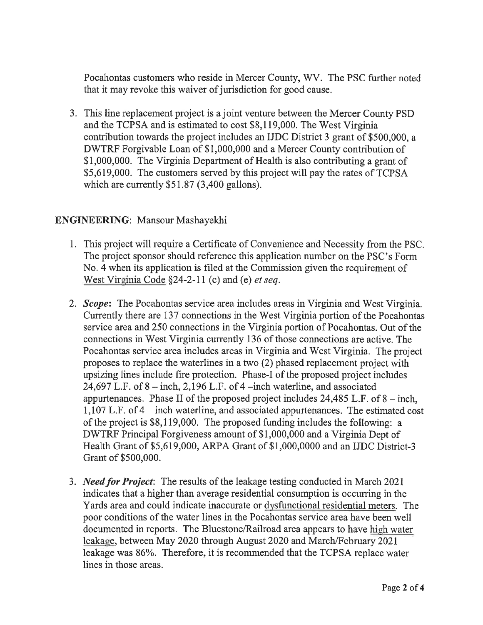Pocahontas customers who reside in Mercer County, WV. The PSC further noted that it may revoke this waiver of jurisdiction for good cause.

3. This line replacement project is a joint venture between the Mercer County PSD and the TCPSA and is estimated to cost \$8,119,000. The West Virginia contribution towards the project includes an IJDC District 3 grant of \$500,000, a DWTRF Forgivable Loan of \$1,000,000 and a Mercer County contribution of \$1,000,000. The Virginia Department of Health is also contributing a grant of \$5,619,000. The customers served by this project will pay the rates of TCPSA which are currently  $$51.87$  (3,400 gallons).

## **ENGINEERING:** Mansour Mashayekhi

- 1. This project will require a Certificate of Convenience and Necessity from the PSC. The project sponsor should reference this application number on the PSC's Form No. 4 when its application is filed at the Commission given the requirement of West Virginia Code  $\S$ 24-2-11 (c) and (e) *et seq.*
- 2. Scope: The Pocahontas service area includes areas in Virginia and West Virginia. Currently there are 137 connections in the West Virginia portion of the Pocahontas service area and 250 connections in the Virginia portion of Pocahontas. Out of the connections in West Virginia currently 136 of those connections are active. The Pocahontas service area includes areas in Virginia and West Virginia. The project proposes to replace the waterlines in a two (2) phased replacement project with upsizing lines include fire protection. Phase-I of the proposed project includes 24,697 L.F. of  $8 -$ inch, 2,196 L.F. of  $4 -$ inch waterline, and associated appurtenances. Phase II of the proposed project includes  $24,485$  L.F. of  $8 - \text{inch}$ ,  $1,107$  L.F. of  $4$  – inch waterline, and associated appurtenances. The estimated cost of the project is \$8,119,000. The proposed funding includes the following: a DWTRF Principal Forgiveness amount of \$1,000,000 and a Virginia Dept of Health Grant of \$5,619,000, ARPA Grant of \$1,000,0000 and an IJDC District-3 Grant of \$500,000.
- 3. *Need for Project*: The results of the leakage testing conducted in March 2021 indicates that a higher than average residential consumption is occurring in the Yards area and could indicate inaccurate or dysfunctional residential meters. The poor conditions of the water lines in the Pocahontas service area have been well documented in reports. The Bluestone/Railroad area appears to have high water leakage, between May 2020 through August 2020 and March/February 2021 leakage was 86%. Therefore, it is recommended that the TCPSA replace water lines in those areas.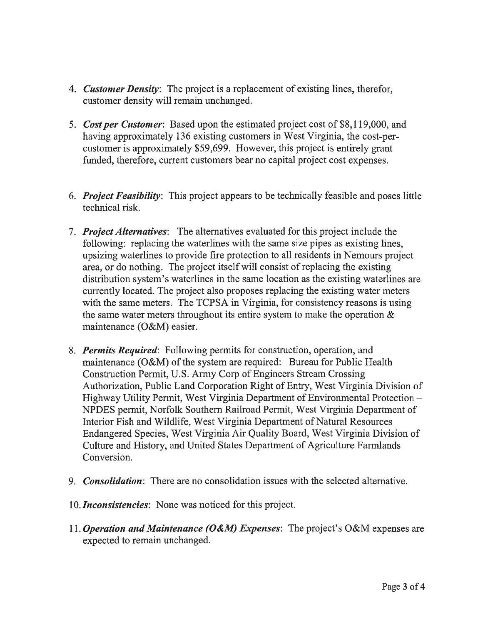- 4. Customer Density: The project is a replacement of existing lines, therefor, customer density will remain unchanged.
- 5. Cost per Customer: Based upon the estimated project cost of \$8,119,000, and having approximately 136 existing customers in West Virginia, the cost-percustomer is approximately \$59,699. However, this project is entirely grant funded, therefore, current customers bear no capital project cost expenses.
- 6. *Project Feasibility*: This project appears to be technically feasible and poses little technical risk.
- 7. Project Alternatives: The alternatives evaluated for this project include the following: replacing the waterlines with the same size pipes as existing lines, upsizing waterlines to provide fire protection to all residents in Nemours project area, or do nothing. The project itself will consist of replacing the existing distribution system's waterlines in the same location as the existing waterlines are currently located. The project also proposes replacing the existing water meters with the same meters. The TCPSA in Virginia, for consistency reasons is using the same water meters throughout its entire system to make the operation  $\&$ maintenance (O&M) easier.
- 8. *Permits Required*: Following permits for construction, operation, and maintenance (O&M) of the system are required: Bureau for Public Health Construction Permit, U.S. Army Corp of Engineers Stream Crossing Authorization, Public Land Corporation Right of Entry, West Virginia Division of Highway Utility Permit, West Virginia Department of Environmental Protection – NPDES permit, Norfolk Southern Railroad Permit, West Virginia Department of Interior Fish and Wildlife, West Virginia Department of Natural Resources Endangered Species, West Virginia Air Quality Board, West Virginia Division of Culture and History, and United States Department of Agriculture Farmlands Conversion.
- 9. *Consolidation*: There are no consolidation issues with the selected alternative.
- 10. Inconsistencies: None was noticed for this project.
- 11. Operation and Maintenance (O&M) Expenses: The project's O&M expenses are expected to remain unchanged.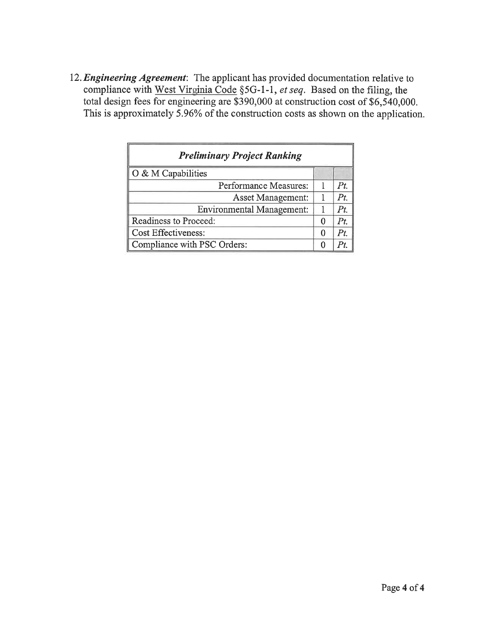12. Engineering Agreement: The applicant has provided documentation relative to compliance with West Virginia Code §5G-1-1, et seq. Based on the filing, the total design fees for engineering are \$390,000 at construction cost of \$6,540,000. This is approximately  $\overline{5.96\%}$  of the construction costs as shown on the application.

| <b>Preliminary Project Ranking</b> |   |     |  |  |
|------------------------------------|---|-----|--|--|
| O & M Capabilities                 |   |     |  |  |
| Performance Measures:              |   | Pt  |  |  |
| <b>Asset Management:</b>           |   | Pt  |  |  |
| <b>Environmental Management:</b>   |   | Pt  |  |  |
| Readiness to Proceed:              |   | Pt. |  |  |
| <b>Cost Effectiveness:</b>         | 0 | Pt  |  |  |
| Compliance with PSC Orders:        |   |     |  |  |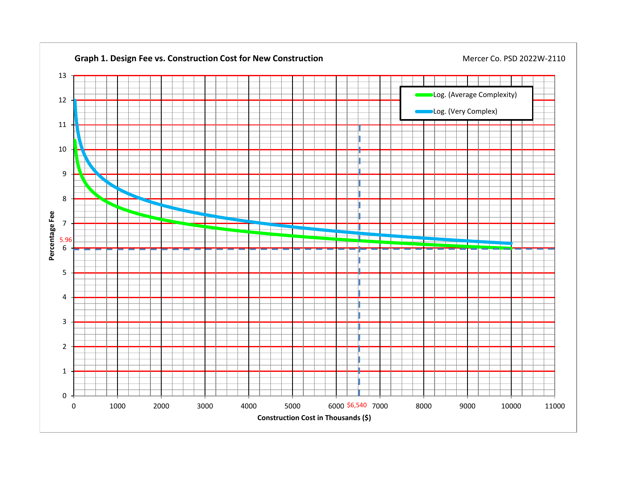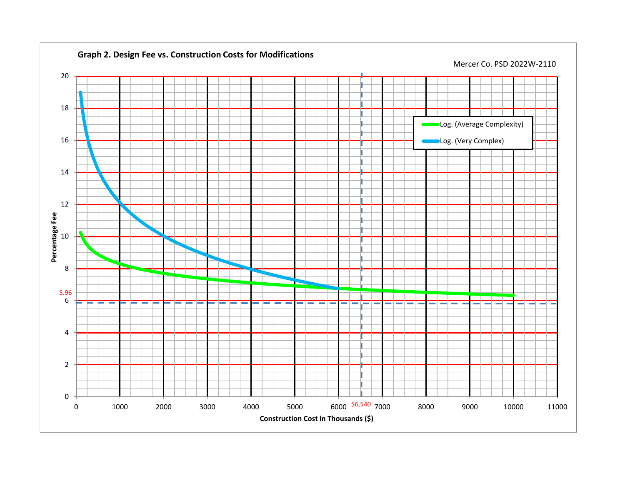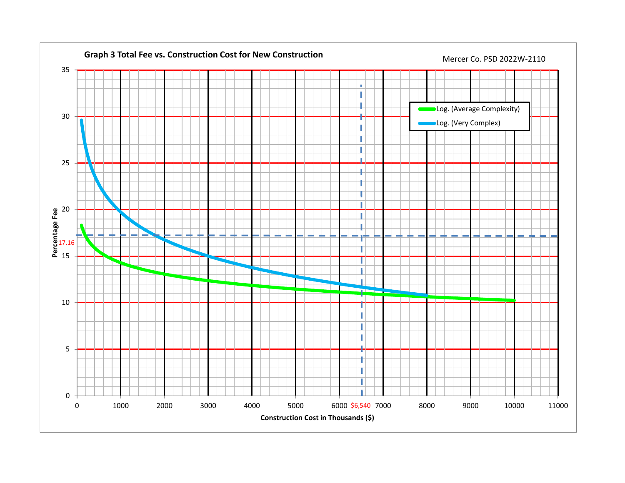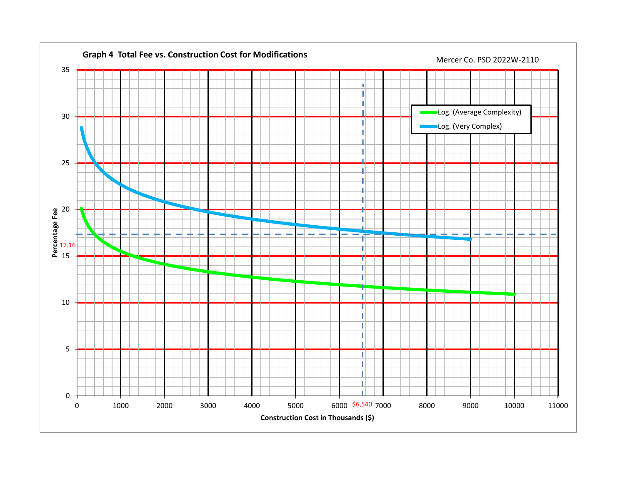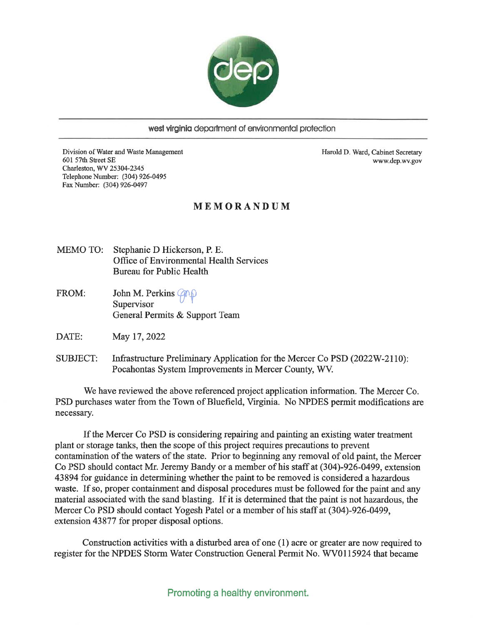

west virginia department of environmental protection

Division of Water and Waste Management 601 57th Street SE Charleston, WV 25304-2345 Telephone Number: (304) 926-0495 Fax Number: (304) 926-0497

Harold D. Ward, Cabinet Secretary www.dep.wv.gov

#### MEMORANDUM

- MEMO TO: Stephanie D Hickerson, P. E. Office of Environmental Health Services **Bureau for Public Health**
- FROM: John M. Perkins *Q*MD Supervisor General Permits & Support Team
- DATE: May 17, 2022
- **SUBJECT:** Infrastructure Preliminary Application for the Mercer Co PSD (2022W-2110): Pocahontas System Improvements in Mercer County, WV.

We have reviewed the above referenced project application information. The Mercer Co. PSD purchases water from the Town of Bluefield, Virginia. No NPDES permit modifications are necessary.

If the Mercer Co PSD is considering repairing and painting an existing water treatment plant or storage tanks, then the scope of this project requires precautions to prevent contamination of the waters of the state. Prior to beginning any removal of old paint, the Mercer Co PSD should contact Mr. Jeremy Bandy or a member of his staff at (304)-926-0499, extension 43894 for guidance in determining whether the paint to be removed is considered a hazardous waste. If so, proper containment and disposal procedures must be followed for the paint and any material associated with the sand blasting. If it is determined that the paint is not hazardous, the Mercer Co PSD should contact Yogesh Patel or a member of his staff at (304)-926-0499. extension 43877 for proper disposal options.

Construction activities with a disturbed area of one (1) acre or greater are now required to register for the NPDES Storm Water Construction General Permit No. WV0115924 that became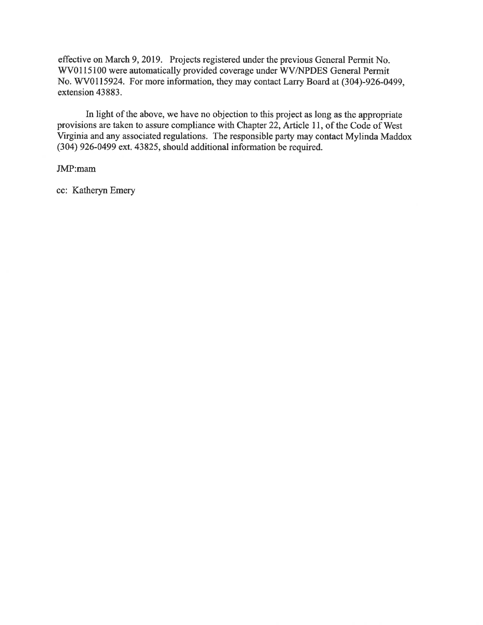effective on March 9, 2019. Projects registered under the previous General Permit No. WV0115100 were automatically provided coverage under WV/NPDES General Permit No. WV0115924. For more information, they may contact Larry Board at (304)-926-0499, extension 43883.

In light of the above, we have no objection to this project as long as the appropriate provisions are taken to assure compliance with Chapter 22, Article 11, of the Code of West Virginia and any associated regulations. The responsible party may contact Mylinda Maddox (304) 926-0499 ext. 43825, should additional information be required.

#### JMP:mam

cc: Katheryn Emery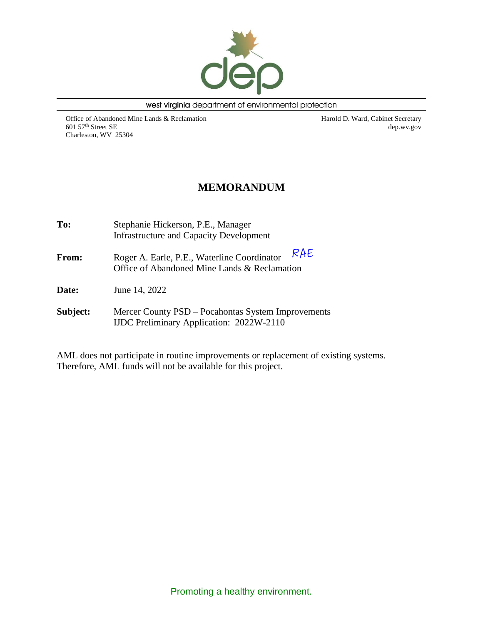

west virginia department of environmental protection

Office of Abandoned Mine Lands & Reclamation 601 57th Street SE Charleston, WV 25304

Harold D. Ward, Cabinet Secretary dep.wv.gov

# **MEMORANDUM**

| To:          | Stephanie Hickerson, P.E., Manager<br><b>Infrastructure and Capacity Development</b>                  |
|--------------|-------------------------------------------------------------------------------------------------------|
| <b>From:</b> | RAE<br>Roger A. Earle, P.E., Waterline Coordinator<br>Office of Abandoned Mine Lands & Reclamation    |
| <b>Date:</b> | June 14, 2022                                                                                         |
| Subject:     | Mercer County PSD – Pocahontas System Improvements<br><b>IJDC</b> Preliminary Application: 2022W-2110 |

AML does not participate in routine improvements or replacement of existing systems. Therefore, AML funds will not be available for this project.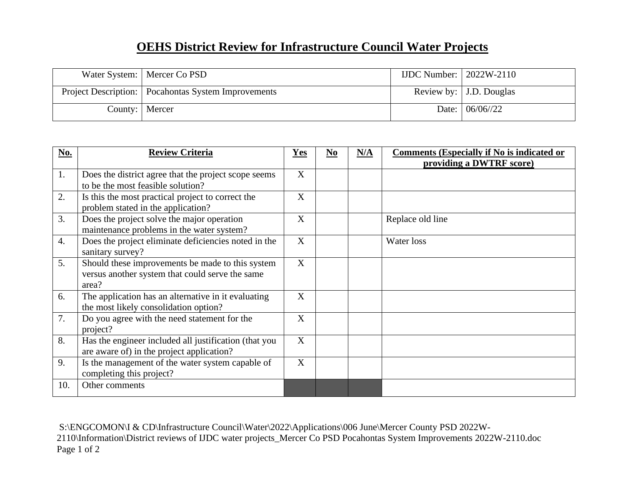# **OEHS District Review for Infrastructure Council Water Projects**

| Water System:   Mercer Co PSD                         | IJDC Number: $\vert$ 2022W-2110 |                                      |
|-------------------------------------------------------|---------------------------------|--------------------------------------|
| Project Description:   Pocahontas System Improvements |                                 | Review by:   J.D. Douglas            |
| County:   Mercer                                      |                                 | Date: $\frac{106}{06}{\frac{22}{2}}$ |

| No.              | <b>Review Criteria</b>                                                                                       | Yes | N <sub>0</sub> | N/A | <b>Comments (Especially if No is indicated or</b><br>providing a DWTRF score) |
|------------------|--------------------------------------------------------------------------------------------------------------|-----|----------------|-----|-------------------------------------------------------------------------------|
| 1.               | Does the district agree that the project scope seems<br>to be the most feasible solution?                    | X   |                |     |                                                                               |
| 2.               | Is this the most practical project to correct the<br>problem stated in the application?                      | X   |                |     |                                                                               |
| 3.               | Does the project solve the major operation<br>maintenance problems in the water system?                      | X   |                |     | Replace old line                                                              |
| $\overline{4}$ . | Does the project eliminate deficiencies noted in the<br>sanitary survey?                                     | X   |                |     | Water loss                                                                    |
| 5.               | Should these improvements be made to this system<br>versus another system that could serve the same<br>area? | X   |                |     |                                                                               |
| 6.               | The application has an alternative in it evaluating<br>the most likely consolidation option?                 | X   |                |     |                                                                               |
| 7.               | Do you agree with the need statement for the<br>project?                                                     | X   |                |     |                                                                               |
| 8.               | Has the engineer included all justification (that you<br>are aware of) in the project application?           | X   |                |     |                                                                               |
| 9.               | Is the management of the water system capable of<br>completing this project?                                 | X   |                |     |                                                                               |
| 10.              | Other comments                                                                                               |     |                |     |                                                                               |

S:\ENGCOMON\I & CD\Infrastructure Council\Water\2022\Applications\006 June\Mercer County PSD 2022W-2110\Information\District reviews of IJDC water projects\_Mercer Co PSD Pocahontas System Improvements 2022W-2110.doc Page 1 of 2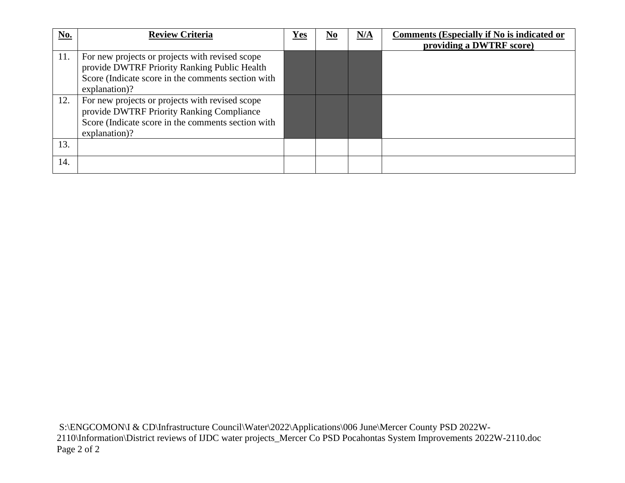| No. | <b>Review Criteria</b>                                                                                                                                                 | Yes | $\underline{\mathbf{N}\mathbf{0}}$ | N/A | <b>Comments (Especially if No is indicated or</b><br>providing a DWTRF score) |
|-----|------------------------------------------------------------------------------------------------------------------------------------------------------------------------|-----|------------------------------------|-----|-------------------------------------------------------------------------------|
| 11. | For new projects or projects with revised scope<br>provide DWTRF Priority Ranking Public Health<br>Score (Indicate score in the comments section with<br>explanation)? |     |                                    |     |                                                                               |
| 12. | For new projects or projects with revised scope<br>provide DWTRF Priority Ranking Compliance<br>Score (Indicate score in the comments section with<br>explanation)?    |     |                                    |     |                                                                               |
| 13. |                                                                                                                                                                        |     |                                    |     |                                                                               |
| 14. |                                                                                                                                                                        |     |                                    |     |                                                                               |